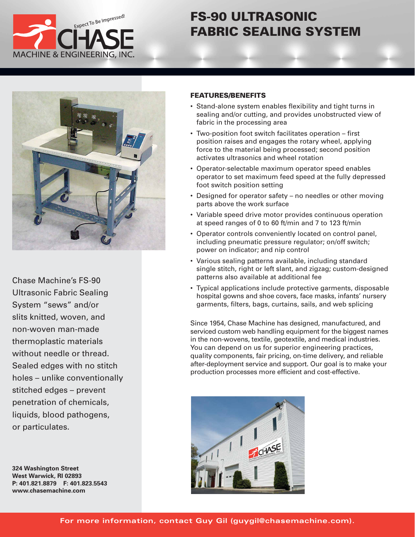

# **FS-90 ULTRASONIC FABRIC SEALING SYSTEM**



Chase Machine's FS-90 Ultrasonic Fabric Sealing System "sews" and/or slits knitted, woven, and non-woven man-made thermoplastic materials without needle or thread. Sealed edges with no stitch holes – unlike conventionally stitched edges – prevent penetration of chemicals, liquids, blood pathogens, or particulates.

**324 Washington Street West Warwick, RI 02893 P: 401.821.8879 F: 401.823.5543 www.chase machine.com**

### **FEATURES/BENEFITS**

- Stand-alone system enables flexibility and tight turns in sealing and/or cutting, and provides unobstructed view of fabric in the processing area
- Two-position foot switch facilitates operation first position raises and engages the rotary wheel, applying force to the material being processed; second position activates ultrasonics and wheel rotation
- Operator-selectable maximum operator speed enables operator to set maximum feed speed at the fully depressed foot switch position setting
- Designed for operator safety no needles or other moving parts above the work surface
- Variable speed drive motor provides continuous operation at speed ranges of 0 to 60 ft/min and 7 to 123 ft/min
- Operator controls conveniently located on control panel, including pneumatic pressure regulator; on/off switch; power on indicator; and nip control
- Various sealing patterns available, including standard single stitch, right or left slant, and zigzag; custom-designed patterns also available at additional fee
- Typical applications include protective garments, disposable hospital gowns and shoe covers, face masks, infants' nursery garments, filters, bags, curtains, sails, and web splicing

Since 1954, Chase Machine has designed, manufactured, and serviced custom web handling equipment for the biggest names in the non-wovens, textile, geotextile, and medical industries. You can depend on us for superior engineering practices, quality components, fair pricing, on-time delivery, and reliable after-deployment service and support. Our goal is to make your production processes more efficient and cost-effective.